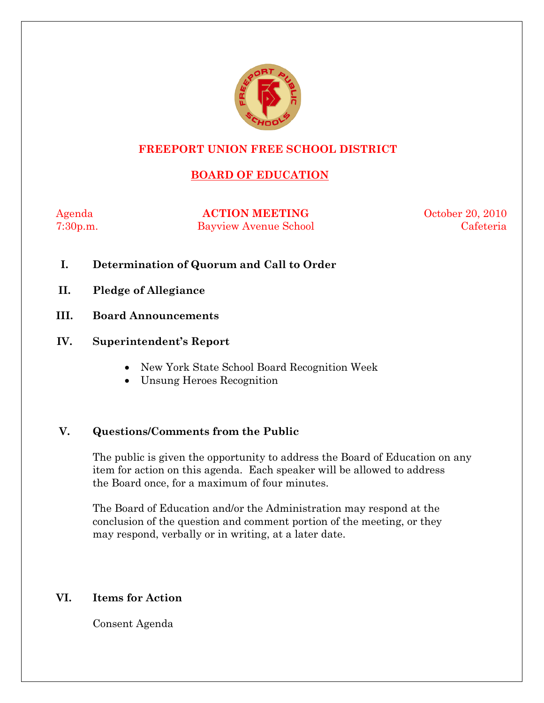

# **FREEPORT UNION FREE SCHOOL DISTRICT**

# **BOARD OF EDUCATION**

Agenda **ACTION MEETING** October 20, 2010 7:30p.m. Bayview Avenue School Cafeteria

- **I. Determination of Quorum and Call to Order**
- **II. Pledge of Allegiance**
- **III. Board Announcements**

### **IV. Superintendent's Report**

- New York State School Board Recognition Week
- Unsung Heroes Recognition

### **V. Questions/Comments from the Public**

The public is given the opportunity to address the Board of Education on any item for action on this agenda. Each speaker will be allowed to address the Board once, for a maximum of four minutes.

The Board of Education and/or the Administration may respond at the conclusion of the question and comment portion of the meeting, or they may respond, verbally or in writing, at a later date.

### **VI. Items for Action**

Consent Agenda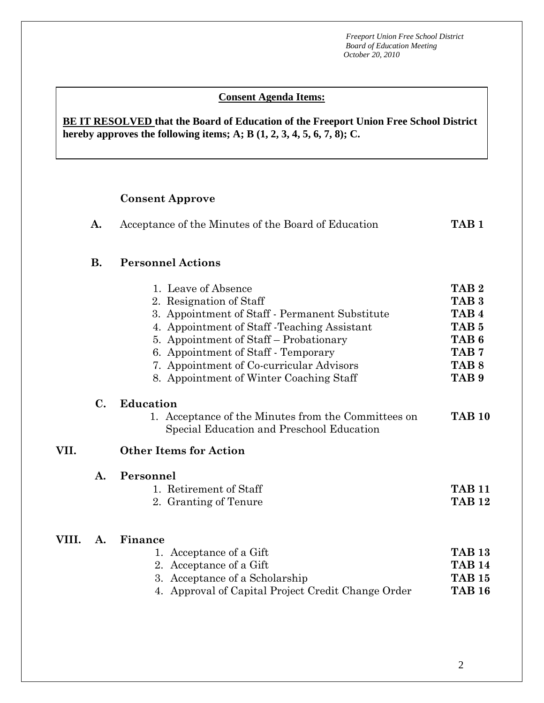#### *A* A<sup>2</sup> **Conserver - Approve Consent Agenda Items:**

**BE IT RESOLVED that the Board of Education of the Freeport Union Free School District hereby approves the following items; A; B (1, 2, 3, 4, 5, 6, 7, 8); C.** 

**A.** Acceptance of the Minutes of the Board of Education **TAB 1** 

# **Consent Approve**

|       | <b>B.</b>      | <b>Personnel Actions</b>                                                                                                                                                                                                                                                                                                 |                                                                                                                                                              |
|-------|----------------|--------------------------------------------------------------------------------------------------------------------------------------------------------------------------------------------------------------------------------------------------------------------------------------------------------------------------|--------------------------------------------------------------------------------------------------------------------------------------------------------------|
|       |                | 1. Leave of Absence<br>2. Resignation of Staff<br>3. Appointment of Staff - Permanent Substitute<br>4. Appointment of Staff - Teaching Assistant<br>5. Appointment of Staff – Probationary<br>6. Appointment of Staff - Temporary<br>7. Appointment of Co-curricular Advisors<br>8. Appointment of Winter Coaching Staff | TAB <sub>2</sub><br>TAB <sub>3</sub><br>TAB <sub>4</sub><br>TAB <sub>5</sub><br>TAB <sub>6</sub><br>TAB <sub>7</sub><br>TAB <sub>8</sub><br>TAB <sub>9</sub> |
|       | $\mathbf{C}$ . | <b>Education</b><br>1. Acceptance of the Minutes from the Committees on<br>Special Education and Preschool Education                                                                                                                                                                                                     | <b>TAB 10</b>                                                                                                                                                |
| VII.  |                | <b>Other Items for Action</b>                                                                                                                                                                                                                                                                                            |                                                                                                                                                              |
|       | $\mathbf{A}$ . | Personnel<br>1. Retirement of Staff<br>2. Granting of Tenure                                                                                                                                                                                                                                                             | <b>TAB 11</b><br><b>TAB 12</b>                                                                                                                               |
| VIII. | A.             | Finance<br>1. Acceptance of a Gift<br>2. Acceptance of a Gift<br>3. Acceptance of a Scholarship<br>4. Approval of Capital Project Credit Change Order                                                                                                                                                                    | <b>TAB 13</b><br><b>TAB 14</b><br><b>TAB 15</b><br><b>TAB 16</b>                                                                                             |